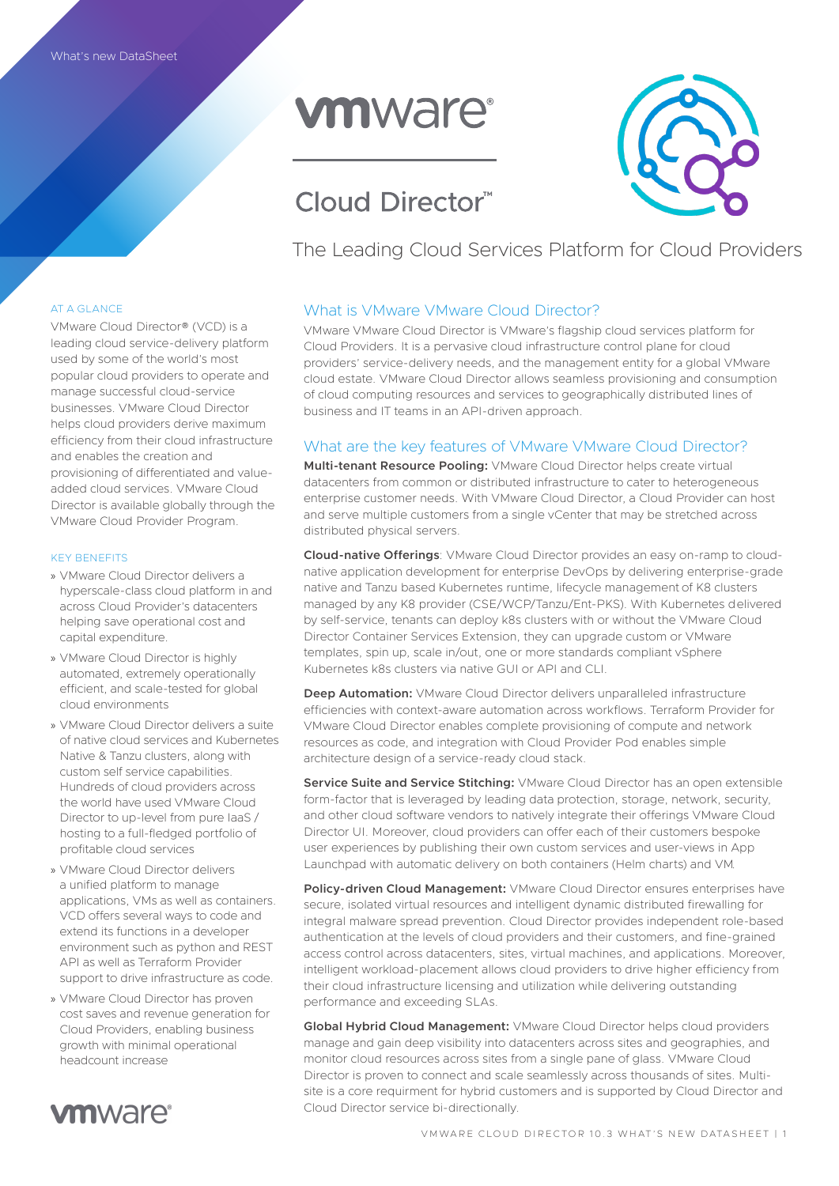# **vmware**®

## Cloud Director™

The Leading Cloud Services Platform for Cloud Providers

## AT A GLANCE

VMware Cloud Director® (VCD) is a leading cloud service-delivery platform used by some of the world's most popular cloud providers to operate and manage successful cloud-service businesses. VMware Cloud Director helps cloud providers derive maximum efficiency from their cloud infrastructure and enables the creation and provisioning of differentiated and valueadded cloud services. VMware Cloud Director is available globally through the VMware Cloud Provider Program.

### KEY BENEFITS

- » VMware Cloud Director delivers a hyperscale-class cloud platform in and across Cloud Provider's datacenters helping save operational cost and capital expenditure.
- » VMware Cloud Director is highly automated, extremely operationally efficient, and scale-tested for global cloud environments
- » VMware Cloud Director delivers a suite of native cloud services and Kubernetes Native & Tanzu clusters, along with custom self service capabilities. Hundreds of cloud providers across the world have used VMware Cloud Director to up-level from pure IaaS / hosting to a full-fledged portfolio of profitable cloud services
- » VMware Cloud Director delivers a unified platform to manage applications, VMs as well as containers. VCD offers several ways to code and extend its functions in a developer environment such as python and REST API as well as Terraform Provider support to drive infrastructure as code.
- » VMware Cloud Director has proven cost saves and revenue generation for Cloud Providers, enabling business growth with minimal operational headcount increase



## What is VMware VMware Cloud Director?

VMware VMware Cloud Director is VMware's flagship cloud services platform for Cloud Providers. It is a pervasive cloud infrastructure control plane for cloud providers' service-delivery needs, and the management entity for a global VMware cloud estate. VMware Cloud Director allows seamless provisioning and consumption of cloud computing resources and services to geographically distributed lines of business and IT teams in an API-driven approach.

## What are the key features of VMware VMware Cloud Director?

**Multi-tenant Resource Pooling:** VMware Cloud Director helps create virtual datacenters from common or distributed infrastructure to cater to heterogeneous enterprise customer needs. With VMware Cloud Director, a Cloud Provider can host and serve multiple customers from a single vCenter that may be stretched across distributed physical servers.

**Cloud-native Offerings**: VMware Cloud Director provides an easy on-ramp to cloudnative application development for enterprise DevOps by delivering enterprise-grade native and Tanzu based Kubernetes runtime, lifecycle management of K8 clusters managed by any K8 provider (CSE/WCP/Tanzu/Ent-PKS). With Kubernetes delivered by self-service, tenants can deploy k8s clusters with or without the VMware Cloud Director Container Services Extension, they can upgrade custom or VMware templates, spin up, scale in/out, one or more standards compliant vSphere Kubernetes k8s clusters via native GUI or API and CLI.

**Deep Automation:** VMware Cloud Director delivers unparalleled infrastructure efficiencies with context-aware automation across workflows. Terraform Provider for VMware Cloud Director enables complete provisioning of compute and network resources as code, and integration with Cloud Provider Pod enables simple architecture design of a service-ready cloud stack.

**Service Suite and Service Stitching: VMware Cloud Director has an open extensible** form-factor that is leveraged by leading data protection, storage, network, security, and other cloud software vendors to natively integrate their offerings VMware Cloud Director UI. Moreover, cloud providers can offer each of their customers bespoke user experiences by publishing their own custom services and user-views in App Launchpad with automatic delivery on both containers (Helm charts) and VM.

**Policy-driven Cloud Management:** VMware Cloud Director ensures enterprises have secure, isolated virtual resources and intelligent dynamic distributed firewalling for integral malware spread prevention. Cloud Director provides independent role-based authentication at the levels of cloud providers and their customers, and fine-grained access control across datacenters, sites, virtual machines, and applications. Moreover, intelligent workload-placement allows cloud providers to drive higher efficiency from their cloud infrastructure licensing and utilization while delivering outstanding performance and exceeding SLAs.

**Global Hybrid Cloud Management:** VMware Cloud Director helps cloud providers manage and gain deep visibility into datacenters across sites and geographies, and monitor cloud resources across sites from a single pane of glass. VMware Cloud Director is proven to connect and scale seamlessly across thousands of sites. Multisite is a core requirment for hybrid customers and is supported by Cloud Director and Cloud Director service bi-directionally.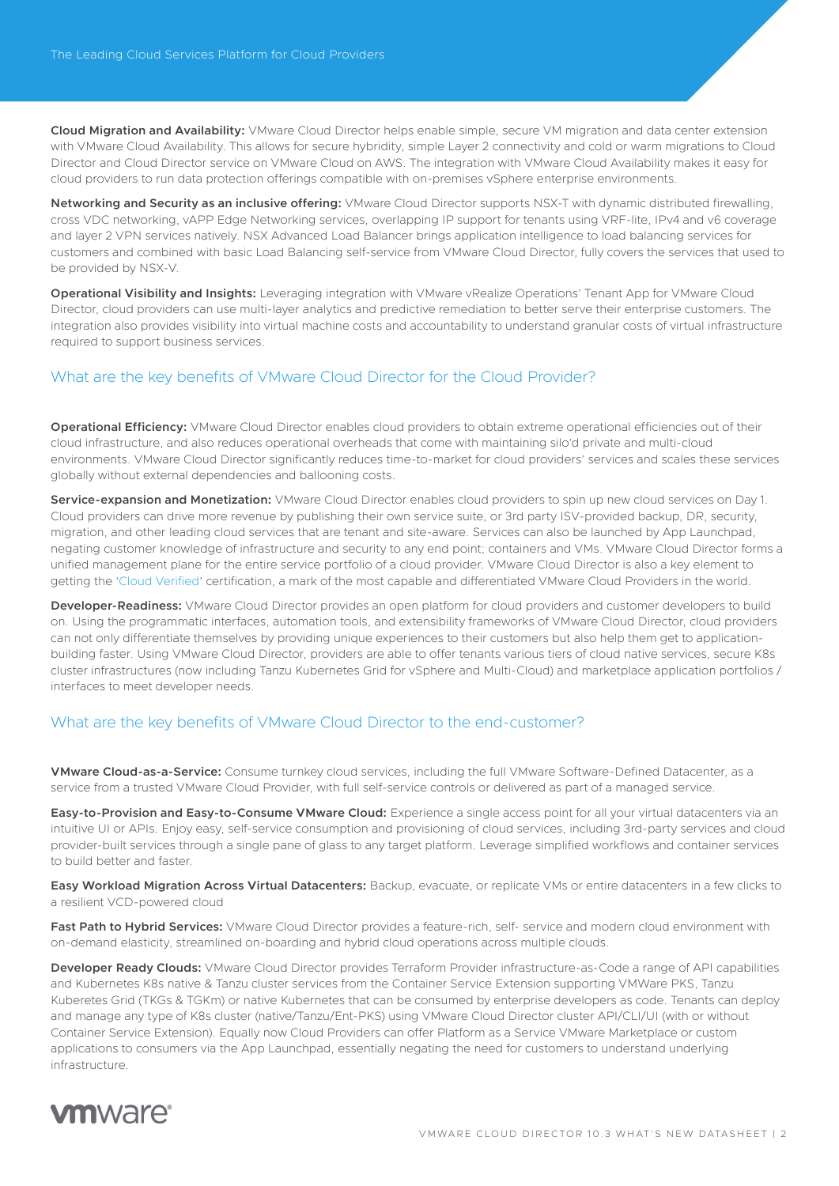**Cloud Migration and Availability:** VMware Cloud Director helps enable simple, secure VM migration and data center extension with VMware Cloud Availability. This allows for secure hybridity, simple Layer 2 connectivity and cold or warm migrations to Cloud Director and Cloud Director service on VMware Cloud on AWS. The integration with VMware Cloud Availability makes it easy for cloud providers to run data protection offerings compatible with on-premises vSphere enterprise environments.

**Networking and Security as an inclusive offering:** VMware Cloud Director supports NSX-T with dynamic distributed firewalling, cross VDC networking, vAPP Edge Networking services, overlapping IP support for tenants using VRF-lite, IPv4 and v6 coverage and layer 2 VPN services natively. NSX Advanced Load Balancer brings application intelligence to load balancing services for customers and combined with basic Load Balancing self-service from VMware Cloud Director, fully covers the services that used to be provided by NSX-V.

**Operational Visibility and Insights:** Leveraging integration with VMware vRealize Operations' Tenant App for VMware Cloud Director, cloud providers can use multi-layer analytics and predictive remediation to better serve their enterprise customers. The integration also provides visibility into virtual machine costs and accountability to understand granular costs of virtual infrastructure required to support business services.

## What are the key benefits of VMware Cloud Director for the Cloud Provider?

**Operational Efficiency:** VMware Cloud Director enables cloud providers to obtain extreme operational efficiencies out of their cloud infrastructure, and also reduces operational overheads that come with maintaining silo'd private and multi-cloud environments. VMware Cloud Director significantly reduces time-to-market for cloud providers' services and scales these services globally without external dependencies and ballooning costs.

**Service-expansion and Monetization:** VMware Cloud Director enables cloud providers to spin up new cloud services on Day 1. Cloud providers can drive more revenue by publishing their own service suite, or 3rd party ISV-provided backup, DR, security, migration, and other leading cloud services that are tenant and site-aware. Services can also be launched by App Launchpad, negating customer knowledge of infrastructure and security to any end point; containers and VMs. VMware Cloud Director forms a unified management plane for the entire service portfolio of a cloud provider. VMware Cloud Director is also a key element to getting the ['Cloud Verified'](https://www.vmware.com/vmware-cloud-verified.html) certification, a mark of the most capable and differentiated VMware Cloud Providers in the world.

**Developer-Readiness:** VMware Cloud Director provides an open platform for cloud providers and customer developers to build on. Using the programmatic interfaces, automation tools, and extensibility frameworks of VMware Cloud Director, cloud providers can not only differentiate themselves by providing unique experiences to their customers but also help them get to applicationbuilding faster. Using VMware Cloud Director, providers are able to offer tenants various tiers of cloud native services, secure K8s cluster infrastructures (now including Tanzu Kubernetes Grid for vSphere and Multi-Cloud) and marketplace application portfolios / interfaces to meet developer needs.

## What are the key benefits of VMware Cloud Director to the end-customer?

**VMware Cloud-as-a-Service:** Consume turnkey cloud services, including the full VMware Software-Defined Datacenter, as a service from a trusted VMware Cloud Provider, with full self-service controls or delivered as part of a managed service.

**Easy-to-Provision and Easy-to-Consume VMware Cloud:** Experience a single access point for all your virtual datacenters via an intuitive UI or APIs. Enjoy easy, self-service consumption and provisioning of cloud services, including 3rd-party services and cloud provider-built services through a single pane of glass to any target platform. Leverage simplified workflows and container services to build better and faster.

**Easy Workload Migration Across Virtual Datacenters:** Backup, evacuate, or replicate VMs or entire datacenters in a few clicks to a resilient VCD-powered cloud

**Fast Path to Hybrid Services:** VMware Cloud Director provides a feature-rich, self- service and modern cloud environment with on-demand elasticity, streamlined on-boarding and hybrid cloud operations across multiple clouds.

**Developer Ready Clouds:** VMware Cloud Director provides Terraform Provider infrastructure-as-Code a range of API capabilities and Kubernetes K8s native & Tanzu cluster services from the Container Service Extension supporting VMWare PKS, Tanzu Kuberetes Grid (TKGs & TGKm) or native Kubernetes that can be consumed by enterprise developers as code. Tenants can deploy and manage any type of K8s cluster (native/Tanzu/Ent-PKS) using VMware Cloud Director cluster API/CLI/UI (with or without Container Service Extension). Equally now Cloud Providers can offer Platform as a Service VMware Marketplace or custom applications to consumers via the App Launchpad, essentially negating the need for customers to understand underlying infrastructure.

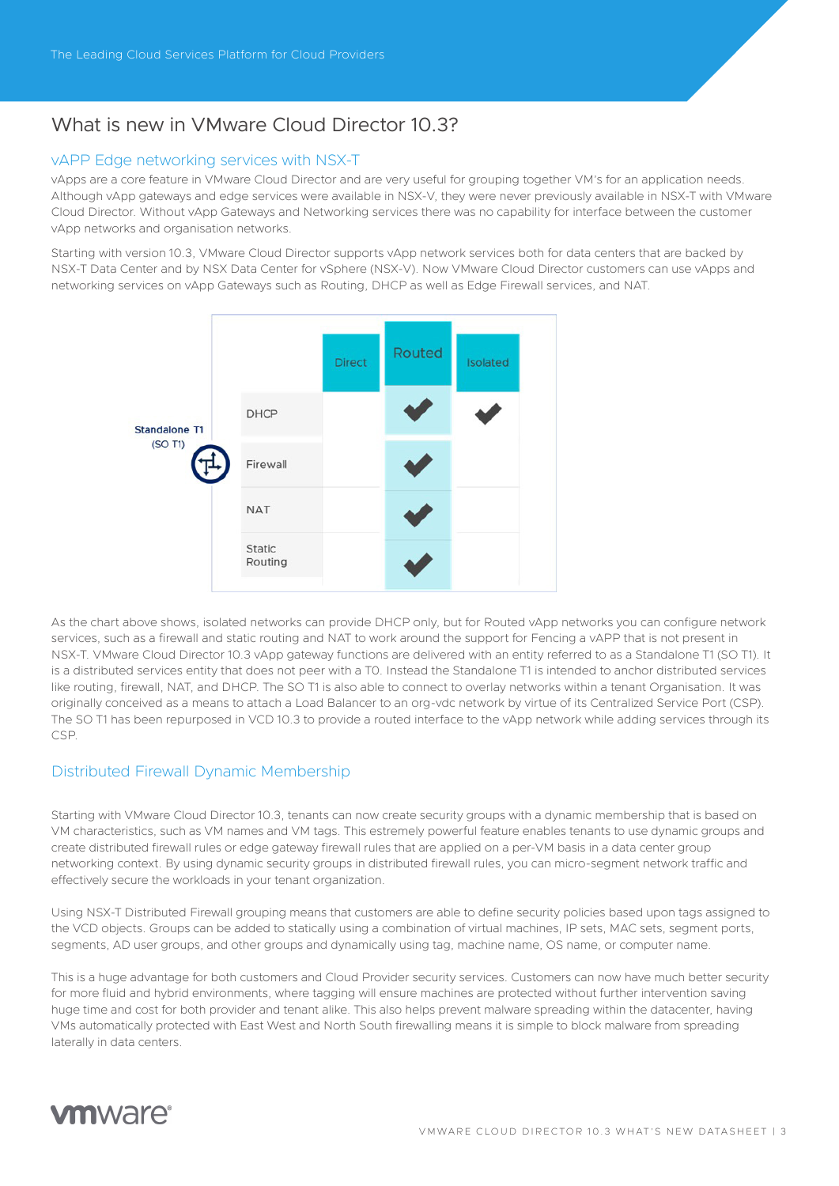## What is new in VMware Cloud Director 10.3?

## vAPP Edge networking services with NSX-T

vApps are a core feature in VMware Cloud Director and are very useful for grouping together VM's for an application needs. Although vApp gateways and edge services were available in NSX-V, they were never previously available in NSX-T with VMware Cloud Director. Without vApp Gateways and Networking services there was no capability for interface between the customer vApp networks and organisation networks.

Starting with version 10.3, VMware Cloud Director supports vApp network services both for data centers that are backed by NSX-T Data Center and by NSX Data Center for vSphere (NSX-V). Now VMware Cloud Director customers can use vApps and networking services on vApp Gateways such as Routing, DHCP as well as Edge Firewall services, and NAT.



As the chart above shows, isolated networks can provide DHCP only, but for Routed vApp networks you can configure network services, such as a firewall and static routing and NAT to work around the support for Fencing a vAPP that is not present in NSX-T. VMware Cloud Director 10.3 vApp gateway functions are delivered with an entity referred to as a Standalone T1 (SO T1). It is a distributed services entity that does not peer with a T0. Instead the Standalone T1 is intended to anchor distributed services like routing, firewall, NAT, and DHCP. The SO T1 is also able to connect to overlay networks within a tenant Organisation. It was originally conceived as a means to attach a Load Balancer to an org-vdc network by virtue of its Centralized Service Port (CSP). The SO T1 has been repurposed in VCD 10.3 to provide a routed interface to the vApp network while adding services through its CSP.

## Distributed Firewall Dynamic Membership

Starting with VMware Cloud Director 10.3, tenants can now create security groups with a dynamic membership that is based on VM characteristics, such as VM names and VM tags. This estremely powerful feature enables tenants to use dynamic groups and create distributed firewall rules or edge gateway firewall rules that are applied on a per-VM basis in a data center group networking context. By using dynamic security groups in distributed firewall rules, you can micro-segment network traffic and effectively secure the workloads in your tenant organization.

Using NSX-T Distributed Firewall grouping means that customers are able to define security policies based upon tags assigned to the VCD objects. Groups can be added to statically using a combination of virtual machines, IP sets, MAC sets, segment ports, segments, AD user groups, and other groups and dynamically using tag, machine name, OS name, or computer name.

This is a huge advantage for both customers and Cloud Provider security services. Customers can now have much better security for more fluid and hybrid environments, where tagging will ensure machines are protected without further intervention saving huge time and cost for both provider and tenant alike. This also helps prevent malware spreading within the datacenter, having VMs automatically protected with East West and North South firewalling means it is simple to block malware from spreading laterally in data centers.

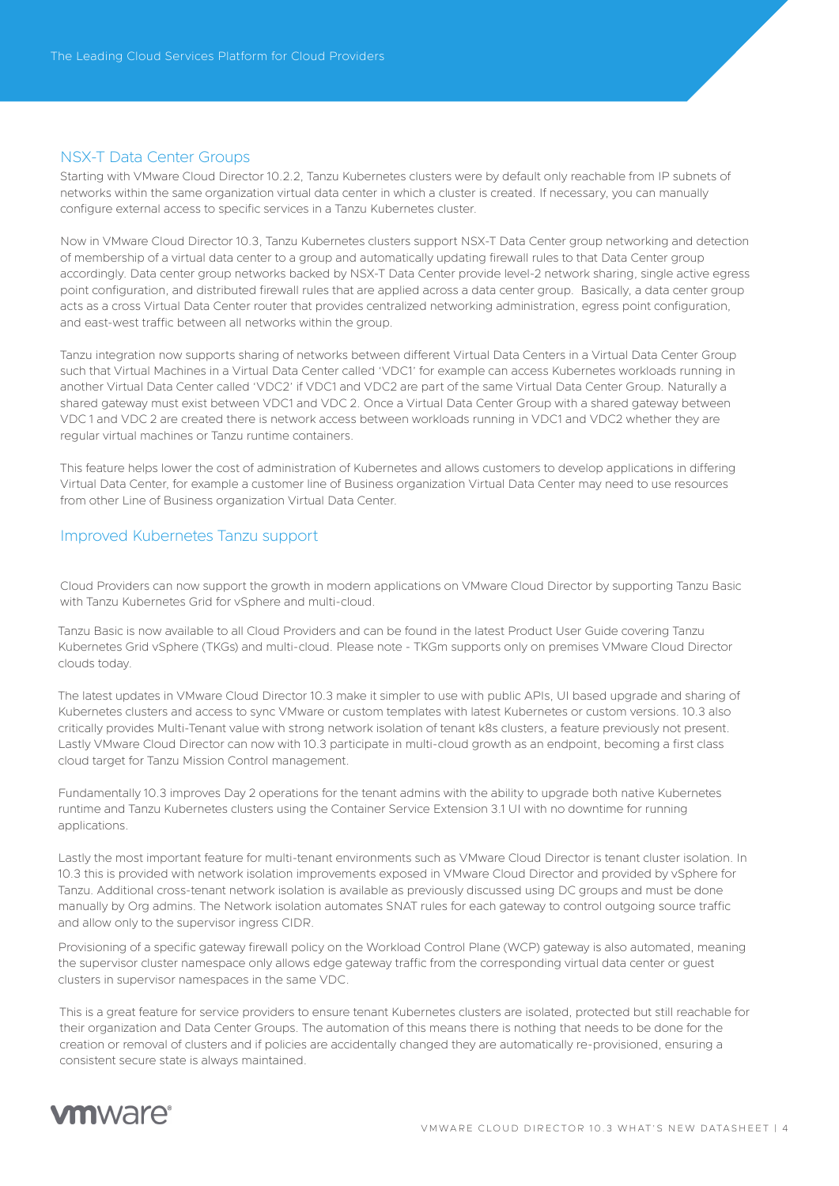## NSX-T Data Center Groups

Starting with VMware Cloud Director 10.2.2, Tanzu Kubernetes clusters were by default only reachable from IP subnets of networks within the same organization virtual data center in which a cluster is created. If necessary, you can manually configure external access to specific services in a Tanzu Kubernetes cluster.

Now in VMware Cloud Director 10.3, Tanzu Kubernetes clusters support NSX-T Data Center group networking and detection of membership of a virtual data center to a group and automatically updating firewall rules to that Data Center group accordingly. Data center group networks backed by NSX-T Data Center provide level-2 network sharing, single active egress point configuration, and distributed firewall rules that are applied across a data center group. Basically, a data center group acts as a cross Virtual Data Center router that provides centralized networking administration, egress point configuration, and east-west traffic between all networks within the group.

Tanzu integration now supports sharing of networks between different Virtual Data Centers in a Virtual Data Center Group such that Virtual Machines in a Virtual Data Center called 'VDC1' for example can access Kubernetes workloads running in another Virtual Data Center called 'VDC2' if VDC1 and VDC2 are part of the same Virtual Data Center Group. Naturally a shared gateway must exist between VDC1 and VDC 2. Once a Virtual Data Center Group with a shared gateway between VDC 1 and VDC 2 are created there is network access between workloads running in VDC1 and VDC2 whether they are regular virtual machines or Tanzu runtime containers.

This feature helps lower the cost of administration of Kubernetes and allows customers to develop applications in differing Virtual Data Center, for example a customer line of Business organization Virtual Data Center may need to use resources from other Line of Business organization Virtual Data Center.

## Improved Kubernetes Tanzu support

Cloud Providers can now support the growth in modern applications on VMware Cloud Director by supporting Tanzu Basic with Tanzu Kubernetes Grid for vSphere and multi-cloud.

Tanzu Basic is now available to all Cloud Providers and can be found in the latest Product User Guide covering Tanzu Kubernetes Grid vSphere (TKGs) and multi-cloud. Please note - TKGm supports only on premises VMware Cloud Director clouds today.

The latest updates in VMware Cloud Director 10.3 make it simpler to use with public APIs, UI based upgrade and sharing of Kubernetes clusters and access to sync VMware or custom templates with latest Kubernetes or custom versions. 10.3 also critically provides Multi-Tenant value with strong network isolation of tenant k8s clusters, a feature previously not present. Lastly VMware Cloud Director can now with 10.3 participate in multi-cloud growth as an endpoint, becoming a first class cloud target for Tanzu Mission Control management.

Fundamentally 10.3 improves Day 2 operations for the tenant admins with the ability to upgrade both native Kubernetes runtime and Tanzu Kubernetes clusters using the Container Service Extension 3.1 UI with no downtime for running applications.

Lastly the most important feature for multi-tenant environments such as VMware Cloud Director is tenant cluster isolation. In 10.3 this is provided with network isolation improvements exposed in VMware Cloud Director and provided by vSphere for Tanzu. Additional cross-tenant network isolation is available as previously discussed using DC groups and must be done manually by Org admins. The Network isolation automates SNAT rules for each gateway to control outgoing source traffic and allow only to the supervisor ingress CIDR.

Provisioning of a specific gateway firewall policy on the Workload Control Plane (WCP) gateway is also automated, meaning the supervisor cluster namespace only allows edge gateway traffic from the corresponding virtual data center or guest clusters in supervisor namespaces in the same VDC.

This is a great feature for service providers to ensure tenant Kubernetes clusters are isolated, protected but still reachable for their organization and Data Center Groups. The automation of this means there is nothing that needs to be done for the creation or removal of clusters and if policies are accidentally changed they are automatically re-provisioned, ensuring a consistent secure state is always maintained.